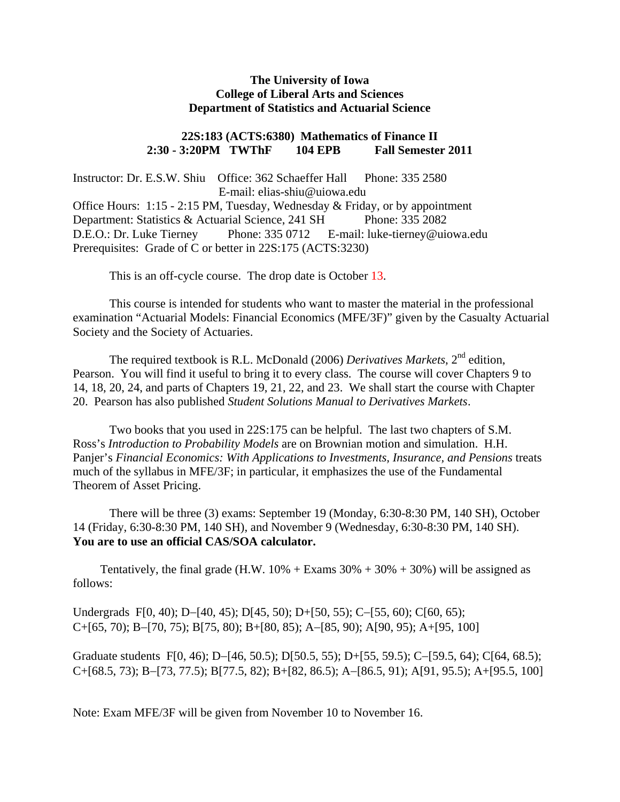# **The University of Iowa College of Liberal Arts and Sciences Department of Statistics and Actuarial Science**

# **22S:183 (ACTS:6380) Mathematics of Finance II 2:30 - 3:20PM TWThF 104 EPB Fall Semester 2011**

Instructor: Dr. E.S.W. Shiu Office: 362 Schaeffer Hall Phone: 335 2580 E-mail: elias-shiu@uiowa.edu Office Hours: 1:15 - 2:15 PM, Tuesday, Wednesday & Friday, or by appointment Department: Statistics & Actuarial Science, 241 SH Phone: 335 2082 D.E.O.: Dr. Luke Tierney Phone: 335 0712 E-mail: luke-tierney@uiowa.edu Prerequisites: Grade of C or better in 22S:175 (ACTS:3230)

This is an off-cycle course. The drop date is October 13.

This course is intended for students who want to master the material in the professional examination "Actuarial Models: Financial Economics (MFE/3F)" given by the Casualty Actuarial Society and the Society of Actuaries.

The required textbook is R.L. McDonald (2006) *Derivatives Markets*, 2<sup>nd</sup> edition, Pearson. You will find it useful to bring it to every class. The course will cover Chapters 9 to 14, 18, 20, 24, and parts of Chapters 19, 21, 22, and 23. We shall start the course with Chapter 20. Pearson has also published *Student Solutions Manual to Derivatives Markets*.

Two books that you used in 22S:175 can be helpful. The last two chapters of S.M. Ross's *Introduction to Probability Models* are on Brownian motion and simulation. H.H. Panjer's *Financial Economics: With Applications to Investments, Insurance, and Pensions* treats much of the syllabus in MFE/3F; in particular, it emphasizes the use of the Fundamental Theorem of Asset Pricing.

There will be three (3) exams: September 19 (Monday, 6:30-8:30 PM, 140 SH), October 14 (Friday, 6:30-8:30 PM, 140 SH), and November 9 (Wednesday, 6:30-8:30 PM, 140 SH). **You are to use an official CAS/SOA calculator.** 

Tentatively, the final grade (H.W.  $10\%$  + Exams  $30\%$  +  $30\%$  +  $30\%$ ) will be assigned as follows:

Undergrads F[0, 40); D-[40, 45); D[45, 50); D+[50, 55); C-[55, 60); C[60, 65);  $C+[65, 70)$ ; B-[70, 75); B[75, 80); B+[80, 85); A-[85, 90); A[90, 95); A+[95, 100]

Graduate students F[0, 46); D-[46, 50.5); D[50.5, 55); D+[55, 59.5); C-[59.5, 64); C[64, 68.5);  $C+[68.5, 73)$ ; B-[73, 77.5); B[77.5, 82); B+[82, 86.5); A-[86.5, 91); A[91, 95.5); A+[95.5, 100]

Note: Exam MFE/3F will be given from November 10 to November 16.